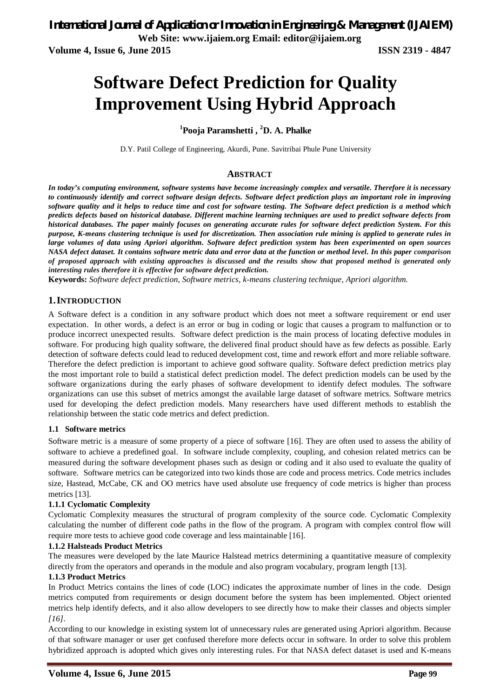**Volume 4, Issue 6, June 2015 ISSN 2319 - 4847**

# **Software Defect Prediction for Quality Improvement Using Hybrid Approach**

### **<sup>1</sup>Pooja Paramshetti , <sup>2</sup>D. A. Phalke**

D.Y. Patil College of Engineering, Akurdi, Pune. Savitribai Phule Pune University

### **ABSTRACT**

*In today's computing environment, software systems have become increasingly complex and versatile. Therefore it is necessary to continuously identify and correct software design defects. Software defect prediction plays an important role in improving software quality and it helps to reduce time and cost for software testing. The Software defect prediction is a method which predicts defects based on historical database. Different machine learning techniques are used to predict software defects from historical databases. The paper mainly focuses on generating accurate rules for software defect prediction System. For this purpose, K-means clustering technique is used for discretization. Then association rule mining is applied to generate rules in large volumes of data using Apriori algorithm. Software defect prediction system has been experimented on open sources NASA defect dataset. It contains software metric data and error data at the function or method level. In this paper comparison of proposed approach with existing approaches is discussed and the results show that proposed method is generated only interesting rules therefore it is effective for software defect prediction.*

**Keywords:** *Software defect prediction, Software metrics, k-means clustering technique, Apriori algorithm.*

#### **1.INTRODUCTION**

A Software defect is a condition in any software product which does not meet a software requirement or end user expectation. In other words, a defect is an error or bug in coding or logic that causes a program to malfunction or to produce incorrect unexpected results. Software defect prediction is the main process of locating defective modules in software. For producing high quality software, the delivered final product should have as few defects as possible. Early detection of software defects could lead to reduced development cost, time and rework effort and more reliable software. Therefore the defect prediction is important to achieve good software quality. Software defect prediction metrics play the most important role to build a statistical defect prediction model. The defect prediction models can be used by the software organizations during the early phases of software development to identify defect modules. The software organizations can use this subset of metrics amongst the available large dataset of software metrics. Software metrics used for developing the defect prediction models. Many researchers have used different methods to establish the relationship between the static code metrics and defect prediction.

#### **1.1 Software metrics**

Software metric is a measure of some property of a piece of software [16]. They are often used to assess the ability of software to achieve a predefined goal. In software include complexity, coupling, and cohesion related metrics can be measured during the software development phases such as design or coding and it also used to evaluate the quality of software. Software metrics can be categorized into two kinds those are code and process metrics. Code metrics includes size, Hastead, McCabe, CK and OO metrics have used absolute use frequency of code metrics is higher than process metrics [13].

#### **1.1.1 Cyclomatic Complexity**

Cyclomatic Complexity measures the structural of program complexity of the source code. Cyclomatic Complexity calculating the number of different code paths in the flow of the program. A program with complex control flow will require more tests to achieve good code coverage and less maintainable [16].

#### **1.1.2 Halsteads Product Metrics**

The measures were developed by the late Maurice Halstead metrics determining a quantitative measure of complexity directly from the operators and operands in the module and also program vocabulary, program length [13].

#### **1.1.3 Product Metrics**

In Product Metrics contains the lines of code (LOC) indicates the approximate number of lines in the code. Design metrics computed from requirements or design document before the system has been implemented. Object oriented metrics help identify defects, and it also allow developers to see directly how to make their classes and objects simpler *[16].*

According to our knowledge in existing system lot of unnecessary rules are generated using Apriori algorithm. Because of that software manager or user get confused therefore more defects occur in software. In order to solve this problem hybridized approach is adopted which gives only interesting rules. For that NASA defect dataset is used and K-means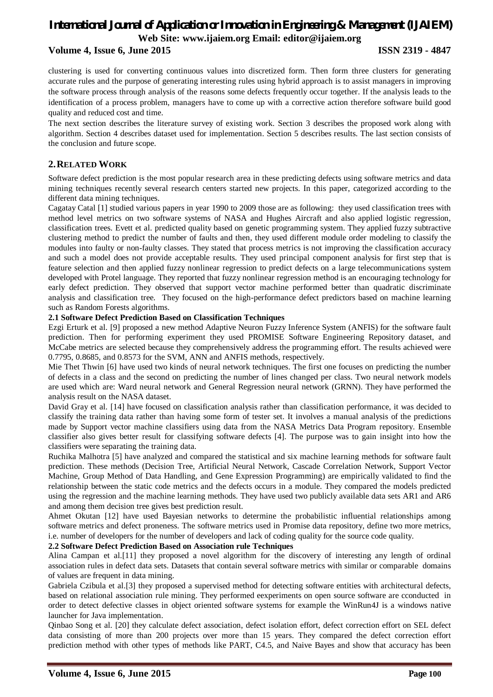### **Volume 4, Issue 6, June 2015 ISSN 2319 - 4847**

clustering is used for converting continuous values into discretized form. Then form three clusters for generating accurate rules and the purpose of generating interesting rules using hybrid approach is to assist managers in improving the software process through analysis of the reasons some defects frequently occur together. If the analysis leads to the identification of a process problem, managers have to come up with a corrective action therefore software build good quality and reduced cost and time.

The next section describes the literature survey of existing work. Section 3 describes the proposed work along with algorithm. Section 4 describes dataset used for implementation. Section 5 describes results. The last section consists of the conclusion and future scope.

### **2.RELATED WORK**

Software defect prediction is the most popular research area in these predicting defects using software metrics and data mining techniques recently several research centers started new projects. In this paper, categorized according to the different data mining techniques.

Cagatay Catal [1] studied various papers in year 1990 to 2009 those are as following: they used classification trees with method level metrics on two software systems of NASA and Hughes Aircraft and also applied logistic regression, classification trees. Evett et al. predicted quality based on genetic programming system. They applied fuzzy subtractive clustering method to predict the number of faults and then, they used different module order modeling to classify the modules into faulty or non-faulty classes. They stated that process metrics is not improving the classification accuracy and such a model does not provide acceptable results. They used principal component analysis for first step that is feature selection and then applied fuzzy nonlinear regression to predict defects on a large telecommunications system developed with Protel language. They reported that fuzzy nonlinear regression method is an encouraging technology for early defect prediction. They observed that support vector machine performed better than quadratic discriminate analysis and classification tree. They focused on the high-performance defect predictors based on machine learning such as Random Forests algorithms.

#### **2.1 Software Defect Prediction Based on Classification Techniques**

Ezgi Erturk et al. [9] proposed a new method Adaptive Neuron Fuzzy Inference System (ANFIS) for the software fault prediction. Then for performing experiment they used PROMISE Software Engineering Repository dataset, and McCabe metrics are selected because they comprehensively address the programming effort. The results achieved were 0.7795, 0.8685, and 0.8573 for the SVM, ANN and ANFIS methods, respectively.

Mie Thet Thwin [6] have used two kinds of neural network techniques. The first one focuses on predicting the number of defects in a class and the second on predicting the number of lines changed per class. Two neural network models are used which are: Ward neural network and General Regression neural network (GRNN). They have performed the analysis result on the NASA dataset.

David Gray et al. [14] have focused on classification analysis rather than classification performance, it was decided to classify the training data rather than having some form of tester set. It involves a manual analysis of the predictions made by Support vector machine classifiers using data from the NASA Metrics Data Program repository. Ensemble classifier also gives better result for classifying software defects [4]. The purpose was to gain insight into how the classifiers were separating the training data.

Ruchika Malhotra [5] have analyzed and compared the statistical and six machine learning methods for software fault prediction. These methods (Decision Tree, Artificial Neural Network, Cascade Correlation Network, Support Vector Machine, Group Method of Data Handling, and Gene Expression Programming) are empirically validated to find the relationship between the static code metrics and the defects occurs in a module. They compared the models predicted using the regression and the machine learning methods. They have used two publicly available data sets AR1 and AR6 and among them decision tree gives best prediction result.

Ahmet Okutan [12] have used Bayesian networks to determine the probabilistic influential relationships among software metrics and defect proneness. The software metrics used in Promise data repository, define two more metrics, i.e. number of developers for the number of developers and lack of coding quality for the source code quality.

#### **2.2 Software Defect Prediction Based on Association rule Techniques**

Alina Campan et al.[11] they proposed a novel algorithm for the discovery of interesting any length of ordinal association rules in defect data sets. Datasets that contain several software metrics with similar or comparable domains of values are frequent in data mining.

Gabriela Czibula et al.<sup>[3]</sup> they proposed a supervised method for detecting software entities with architectural defects, based on relational association rule mining. They performed eexperiments on open source software are cconducted in order to detect defective classes in object oriented software systems for example the WinRun4J is a windows native launcher for Java implementation.

Qinbao Song et al. [20] they calculate defect association, defect isolation effort, defect correction effort on SEL defect data consisting of more than 200 projects over more than 15 years. They compared the defect correction effort prediction method with other types of methods like PART, C4.5, and Naive Bayes and show that accuracy has been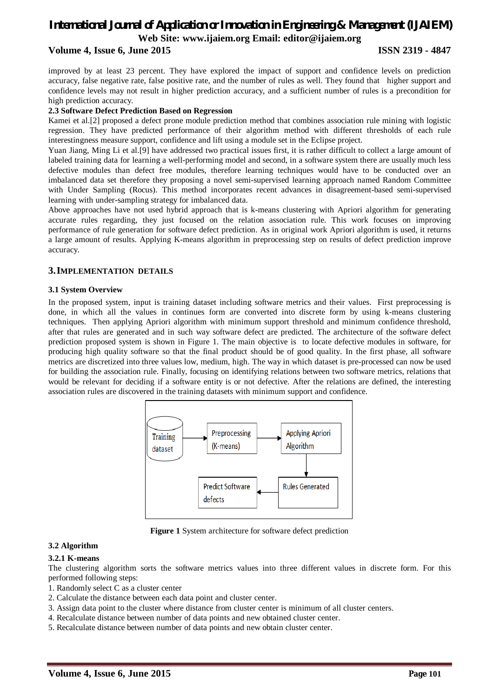#### **Volume 4, Issue 6, June 2015 ISSN 2319 - 4847**

improved by at least 23 percent. They have explored the impact of support and confidence levels on prediction accuracy, false negative rate, false positive rate, and the number of rules as well. They found that higher support and confidence levels may not result in higher prediction accuracy, and a sufficient number of rules is a precondition for high prediction accuracy.

#### **2.3 Software Defect Prediction Based on Regression**

Kamei et al.[2] proposed a defect prone module prediction method that combines association rule mining with logistic regression. They have predicted performance of their algorithm method with different thresholds of each rule interestingness measure support, confidence and lift using a module set in the Eclipse project.

Yuan Jiang, Ming Li et al.[9] have addressed two practical issues first, it is rather difficult to collect a large amount of labeled training data for learning a well-performing model and second, in a software system there are usually much less defective modules than defect free modules, therefore learning techniques would have to be conducted over an imbalanced data set therefore they proposing a novel semi-supervised learning approach named Random Committee with Under Sampling (Rocus). This method incorporates recent advances in disagreement-based semi-supervised learning with under-sampling strategy for imbalanced data.

Above approaches have not used hybrid approach that is k-means clustering with Apriori algorithm for generating accurate rules regarding, they just focused on the relation association rule. This work focuses on improving performance of rule generation for software defect prediction. As in original work Apriori algorithm is used, it returns a large amount of results. Applying K-means algorithm in preprocessing step on results of defect prediction improve accuracy.

#### **3.IMPLEMENTATION DETAILS**

#### **3.1 System Overview**

In the proposed system, input is training dataset including software metrics and their values. First preprocessing is done, in which all the values in continues form are converted into discrete form by using k-means clustering techniques. Then applying Apriori algorithm with minimum support threshold and minimum confidence threshold, after that rules are generated and in such way software defect are predicted. The architecture of the software defect prediction proposed system is shown in Figure 1. The main objective is to locate defective modules in software, for producing high quality software so that the final product should be of good quality. In the first phase, all software metrics are discretized into three values low, medium, high. The way in which dataset is pre-processed can now be used for building the association rule. Finally, focusing on identifying relations between two software metrics, relations that would be relevant for deciding if a software entity is or not defective. After the relations are defined, the interesting association rules are discovered in the training datasets with minimum support and confidence.



**Figure 1** System architecture for software defect prediction

#### **3.2 Algorithm**

#### **3.2.1 K-means**

The clustering algorithm sorts the software metrics values into three different values in discrete form. For this performed following steps:

- 1. Randomly select C as a cluster center
- 2. Calculate the distance between each data point and cluster center.
- 3. Assign data point to the cluster where distance from cluster center is minimum of all cluster centers.
- 4. Recalculate distance between number of data points and new obtained cluster center.
- 5. Recalculate distance between number of data points and new obtain cluster center.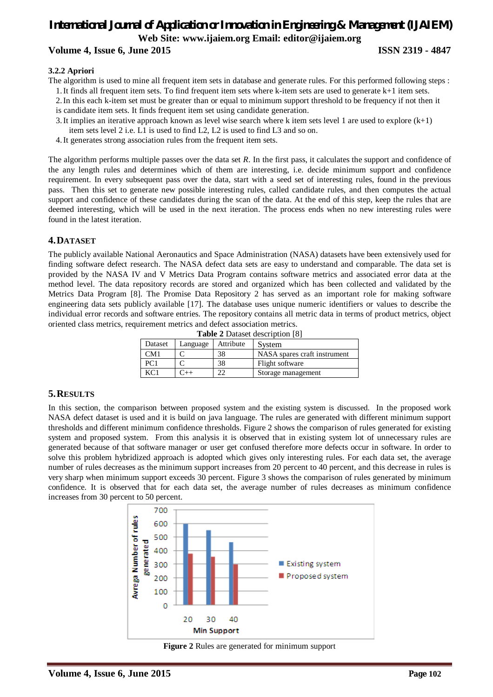### *International Journal of Application or Innovation in Engineering & Management (IJAIEM)* **Web Site: www.ijaiem.org Email: editor@ijaiem.org Volume 4, Issue 6, June 2015 ISSN 2319 - 4847**

#### **3.2.2 Apriori**

The algorithm is used to mine all frequent item sets in database and generate rules. For this performed following steps :

1.It finds all frequent item sets. To find frequent item sets where k-item sets are used to generate k+1 item sets.

- 2.In this each k-item set must be greater than or equal to minimum support threshold to be frequency if not then it is candidate item sets. It finds frequent item set using candidate generation.
- 3. It implies an iterative approach known as level wise search where k item sets level 1 are used to explore  $(k+1)$ item sets level 2 i.e. L1 is used to find L2, L2 is used to find L3 and so on.
- 4.It generates strong association rules from the frequent item sets.

The algorithm performs multiple passes over the data set *R*. In the first pass, it calculates the support and confidence of the any length rules and determines which of them are interesting, i.e. decide minimum support and confidence requirement. In every subsequent pass over the data, start with a seed set of interesting rules, found in the previous pass. Then this set to generate new possible interesting rules, called candidate rules, and then computes the actual support and confidence of these candidates during the scan of the data. At the end of this step, keep the rules that are deemed interesting, which will be used in the next iteration. The process ends when no new interesting rules were found in the latest iteration.

#### **4.DATASET**

The publicly available National Aeronautics and Space Administration (NASA) datasets have been extensively used for finding software defect research. The NASA defect data sets are easy to understand and comparable. The data set is provided by the NASA IV and V Metrics Data Program contains software metrics and associated error data at the method level. The data repository records are stored and organized which has been collected and validated by the Metrics Data Program [8]. The Promise Data Repository 2 has served as an important role for making software engineering data sets publicly available [17]. The database uses unique numeric identifiers or values to describe the individual error records and software entries. The repository contains all metric data in terms of product metrics, object oriented class metrics, requirement metrics and defect association metrics.

| <b>Table 2</b> Dataset description [8] |          |           |                              |
|----------------------------------------|----------|-----------|------------------------------|
| Dataset                                | Language | Attribute | System                       |
| CM1                                    |          | 38        | NASA spares craft instrument |
| PC <sub>1</sub>                        |          | 38        | Flight software              |
| KCl                                    |          |           | Storage management           |

#### **5.RESULTS**

In this section, the comparison between proposed system and the existing system is discussed. In the proposed work NASA defect dataset is used and it is build on java language. The rules are generated with different minimum support thresholds and different minimum confidence thresholds. Figure 2 shows the comparison of rules generated for existing system and proposed system. From this analysis it is observed that in existing system lot of unnecessary rules are generated because of that software manager or user get confused therefore more defects occur in software. In order to solve this problem hybridized approach is adopted which gives only interesting rules. For each data set, the average number of rules decreases as the minimum support increases from 20 percent to 40 percent, and this decrease in rules is very sharp when minimum support exceeds 30 percent. Figure 3 shows the comparison of rules generated by minimum confidence. It is observed that for each data set, the average number of rules decreases as minimum confidence increases from 30 percent to 50 percent.



**Figure 2** Rules are generated for minimum support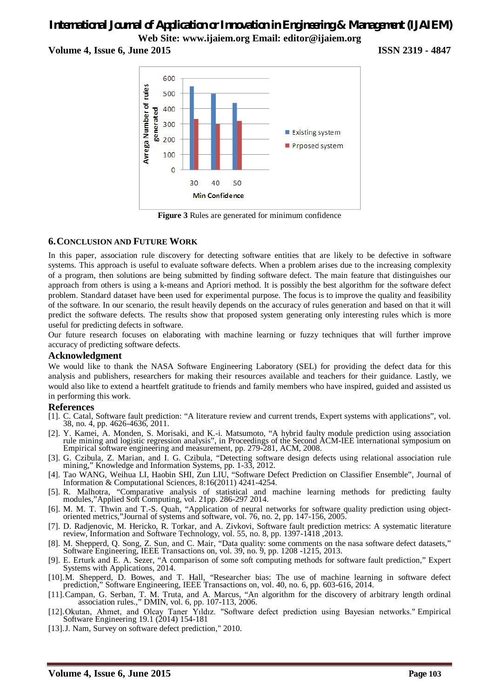**Volume 4, Issue 6, June 2015 ISSN 2319 - 4847**



**Figure 3** Rules are generated for minimum confidence

### **6.CONCLUSION AND FUTURE WORK**

In this paper, association rule discovery for detecting software entities that are likely to be defective in software systems. This approach is useful to evaluate software defects. When a problem arises due to the increasing complexity of a program, then solutions are being submitted by finding software defect. The main feature that distinguishes our approach from others is using a k-means and Apriori method. It is possibly the best algorithm for the software defect problem. Standard dataset have been used for experimental purpose. The focus is to improve the quality and feasibility of the software. In our scenario, the result heavily depends on the accuracy of rules generation and based on that it will predict the software defects. The results show that proposed system generating only interesting rules which is more useful for predicting defects in software.

Our future research focuses on elaborating with machine learning or fuzzy techniques that will further improve accuracy of predicting software defects.

#### **Acknowledgment**

We would like to thank the NASA Software Engineering Laboratory (SEL) for providing the defect data for this analysis and publishers, researchers for making their resources available and teachers for their guidance. Lastly, we would also like to extend a heartfelt gratitude to friends and family members who have inspired, guided and assisted us in performing this work.

#### **References**

- [1]. C. Catal, Software fault prediction: "A literature review and current trends, Expert systems with applications", vol. 38, no. 4, pp. 4626-4636, 2011.
- [2]. Y. Kamei, A. Monden, S. Morisaki, and K.-i. Matsumoto, "A hybrid faulty module prediction using association rule mining and logistic regression analysis", in Proceedings of the Second ACM-IEE international symposium on Empirical software engineering and measurement, pp. 279-281, ACM, 2008.
- [3]. G. Czibula, Z. Marian, and I. G. Czibula, "Detecting software design defects using relational association rule mining," Knowledge and Information Systems, pp. 1-33, 2012.
- [4]. Tao WANG, Weihua LI, Haobin SHI, Zun LIU, "Software Defect Prediction on Classifier Ensemble", Journal of Information & Computational Sciences, 8:16(2011) 4241-4254.
- [5]. R. Malhotra, "Comparative analysis of statistical and machine learning methods for predicting faulty modules,"Applied Soft Computing, vol. 21pp. 286-297 2014.
- [6]. M. M. T. Thwin and T.-S. Quah, "Application of neural networks for software quality prediction using objectoriented metrics,"Journal of systems and software, vol. 76, no. 2, pp. 147-156, 2005.
- [7]. D. Radjenovic, M. Hericko, R. Torkar, and A. Zivkovi, Software fault prediction metrics: A systematic literature review, Information and Software Technology, vol. 55, no. 8, pp. 1397-1418 ,2013.
- [8]. M. Shepperd, Q. Song, Z. Sun, and C. Mair, "Data quality: some comments on the nasa software defect datasets," Software Engineering, IEEE Transactions on, vol. 39, no. 9, pp. 1208 -1215, 2013.
- [9]. E. Erturk and E. A. Sezer, "A comparison of some soft computing methods for software fault prediction," Expert Systems with Applications, 2014.
- [10].M. Shepperd, D. Bowes, and T. Hall, "Researcher bias: The use of machine learning in software defect prediction," Software Engineering, IEEE Transactions on, vol. 40, no. 6, pp. 603-616, 2014.
- [11].Campan, G. Serban, T. M. Truta, and A. Marcus, "An algorithm for the discovery of arbitrary length ordinal association rules.," DMIN, vol. 6, pp. 107-113, 2006.
- [12].Okutan, Ahmet, and Olcay Taner Yıldız. "Software defect prediction using Bayesian networks." Empirical Software Engineering 19.1 (2014) 154-181
- [13].J. Nam, Survey on software defect prediction," 2010.